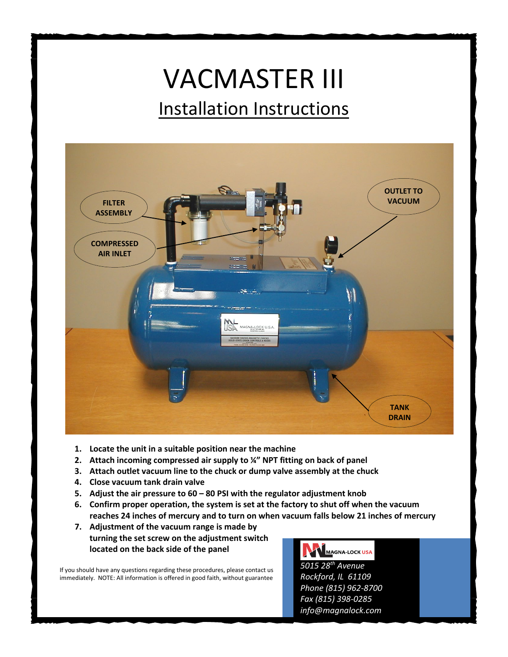## VACMASTER III Installation Instructions



- **1. Locate the unit in a suitable position near the machine**
- **2. Attach incoming compressed air supply to ¼" NPT fitting on back of panel**
- **3. Attach outlet vacuum line to the chuck or dump valve assembly at the chuck**
- **4. Close vacuum tank drain valve**
- **5. Adjust the air pressure to 60 – 80 PSI with the regulator adjustment knob**
- **6. Confirm proper operation, the system is set at the factory to shut off when the vacuum reaches 24 inches of mercury and to turn on when vacuum falls below 21 inches of mercury**
- **7. Adjustment of the vacuum range is made by turning the set screw on the adjustment switch located on the back side of the panel**

If you should have any questions regarding these procedures, please contact us immediately. NOTE: All information is offered in good faith, without guarantee

MAGNA-LOCK USA

*5015 28th Avenue Rockford, IL 61109 Phone (815) 962-8700 Fax (815) 398-0285 info@magnalock.com*